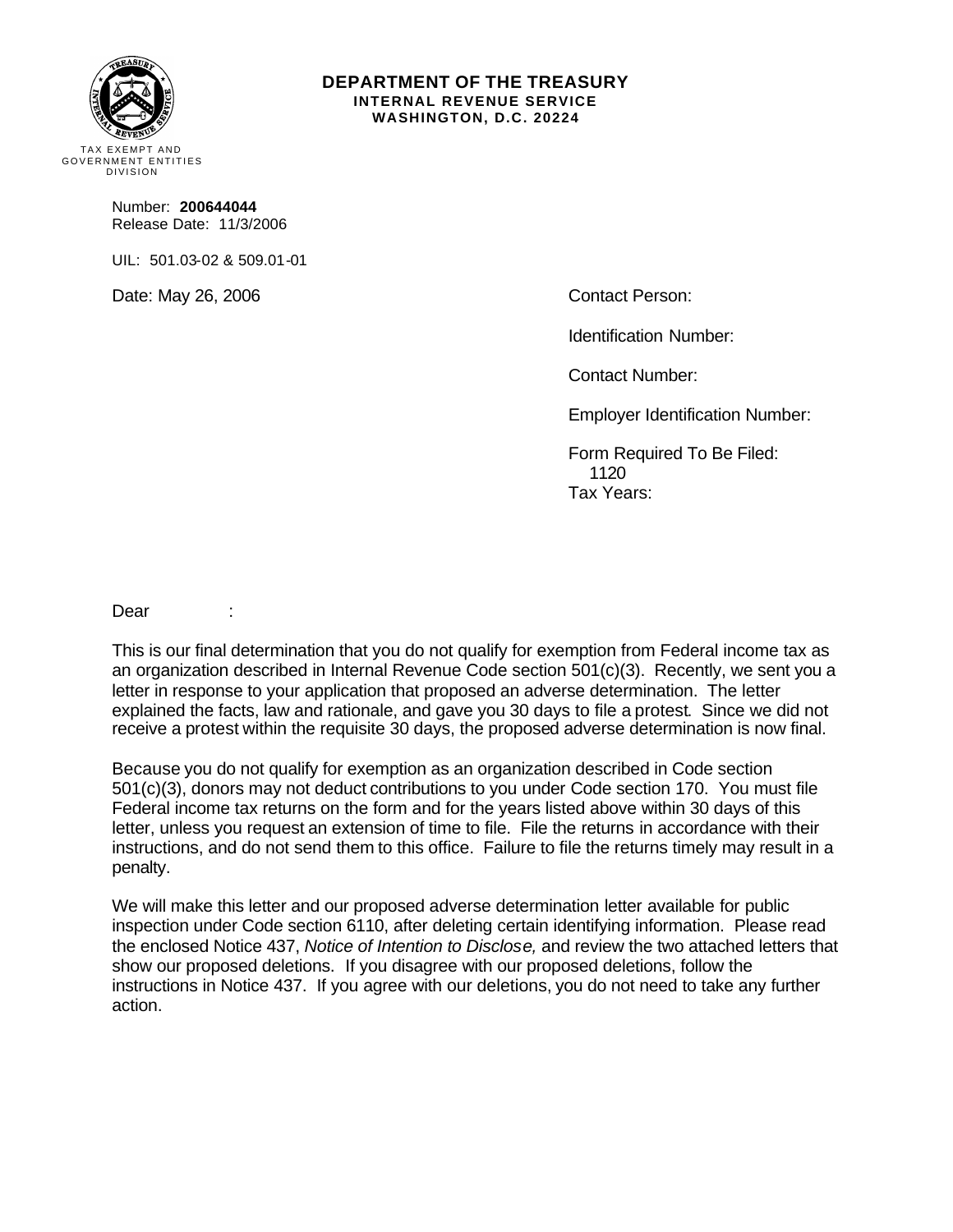

#### **DEPARTMENT OF THE TREASURY INTERNAL REVENUE SERVICE WASHINGTON, D.C. 20224**

Number: **200644044** Release Date: 11/3/2006

UIL: 501.03-02 & 509.01-01

Date: May 26, 2006 Contact Person:

Identification Number:

Contact Number:

Employer Identification Number:

Form Required To Be Filed: 1120 Tax Years:

Dear :

This is our final determination that you do not qualify for exemption from Federal income tax as an organization described in Internal Revenue Code section 501(c)(3). Recently, we sent you a letter in response to your application that proposed an adverse determination. The letter explained the facts, law and rationale, and gave you 30 days to file a protest. Since we did not receive a protest within the requisite 30 days, the proposed adverse determination is now final.

Because you do not qualify for exemption as an organization described in Code section 501(c)(3), donors may not deduct contributions to you under Code section 170. You must file Federal income tax returns on the form and for the years listed above within 30 days of this letter, unless you request an extension of time to file. File the returns in accordance with their instructions, and do not send them to this office. Failure to file the returns timely may result in a penalty.

We will make this letter and our proposed adverse determination letter available for public inspection under Code section 6110, after deleting certain identifying information. Please read the enclosed Notice 437, *Notice of Intention to Disclose,* and review the two attached letters that show our proposed deletions. If you disagree with our proposed deletions, follow the instructions in Notice 437. If you agree with our deletions, you do not need to take any further action.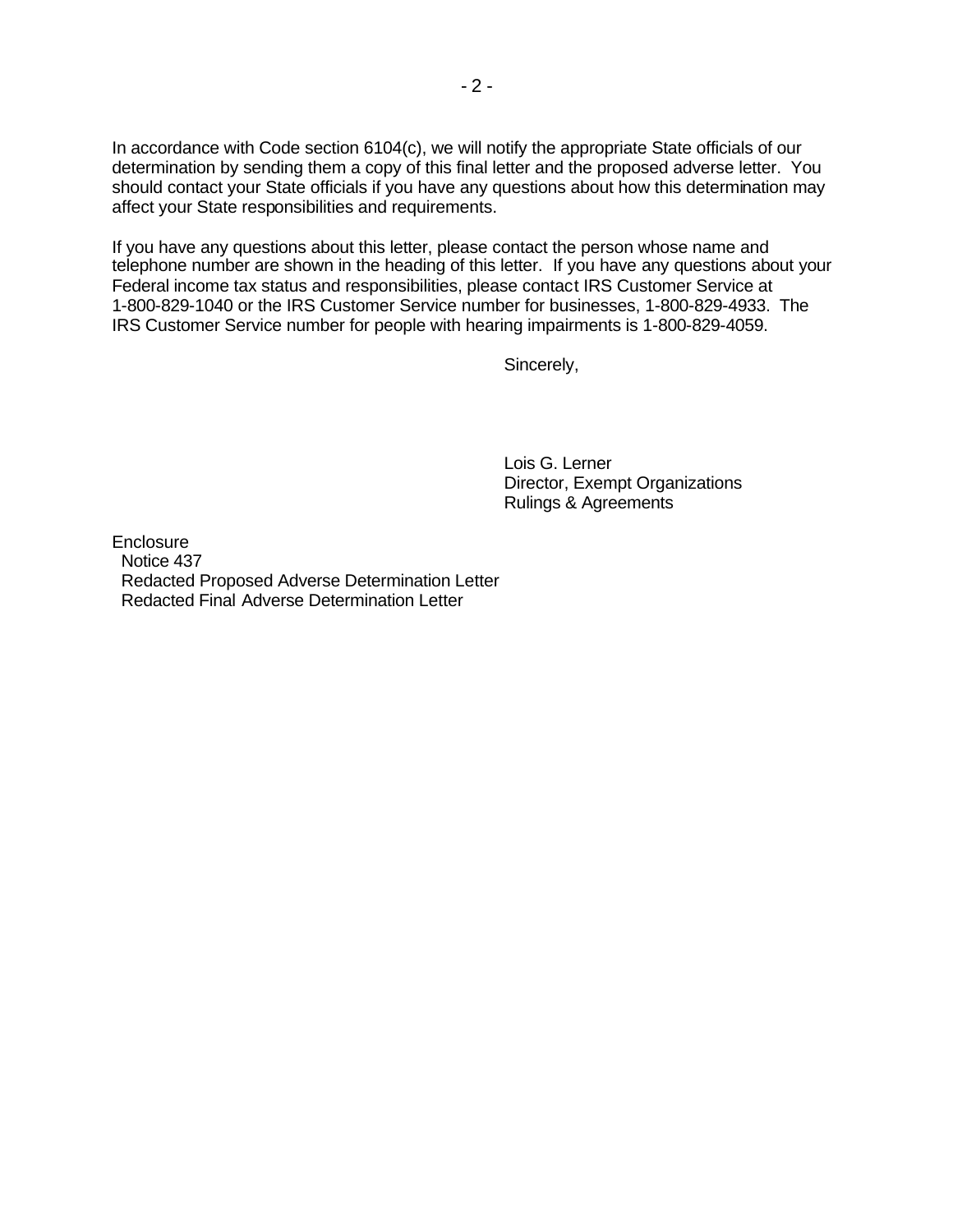In accordance with Code section 6104(c), we will notify the appropriate State officials of our determination by sending them a copy of this final letter and the proposed adverse letter. You should contact your State officials if you have any questions about how this determination may affect your State responsibilities and requirements.

If you have any questions about this letter, please contact the person whose name and telephone number are shown in the heading of this letter. If you have any questions about your Federal income tax status and responsibilities, please contact IRS Customer Service at 1-800-829-1040 or the IRS Customer Service number for businesses, 1-800-829-4933. The IRS Customer Service number for people with hearing impairments is 1-800-829-4059.

Sincerely,

Lois G. Lerner Director, Exempt Organizations Rulings & Agreements

**Enclosure**  Notice 437 Redacted Proposed Adverse Determination Letter Redacted Final Adverse Determination Letter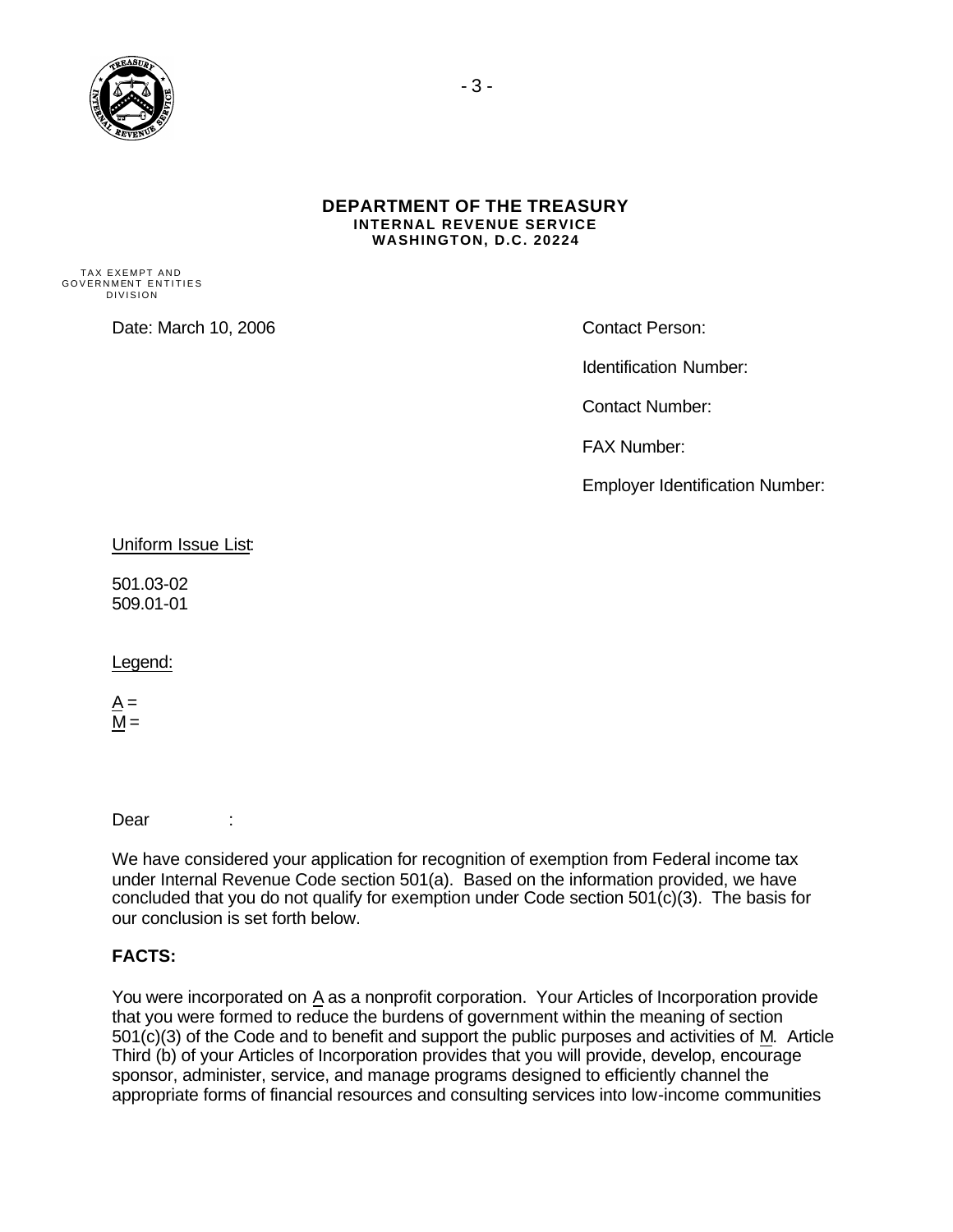

#### **DEPARTMENT OF THE TREASURY INTERNAL REVENUE SERVICE WASHINGTON, D.C. 20224**

TAX EXEMPT AND GOVERNMENT ENTITIES DIVISION

Date: March 10, 2006 Contact Person:

Identification Number:

Contact Number:

FAX Number:

Employer Identification Number:

Uniform Issue List:

501.03-02 509.01-01

Legend:

 $A =$  $M =$ 

Dear :

We have considered your application for recognition of exemption from Federal income tax under Internal Revenue Code section 501(a). Based on the information provided, we have concluded that you do not qualify for exemption under Code section 501(c)(3). The basis for our conclusion is set forth below.

## **FACTS:**

You were incorporated on A as a nonprofit corporation. Your Articles of Incorporation provide that you were formed to reduce the burdens of government within the meaning of section 501(c)(3) of the Code and to benefit and support the public purposes and activities of M. Article Third (b) of your Articles of Incorporation provides that you will provide, develop, encourage sponsor, administer, service, and manage programs designed to efficiently channel the appropriate forms of financial resources and consulting services into low-income communities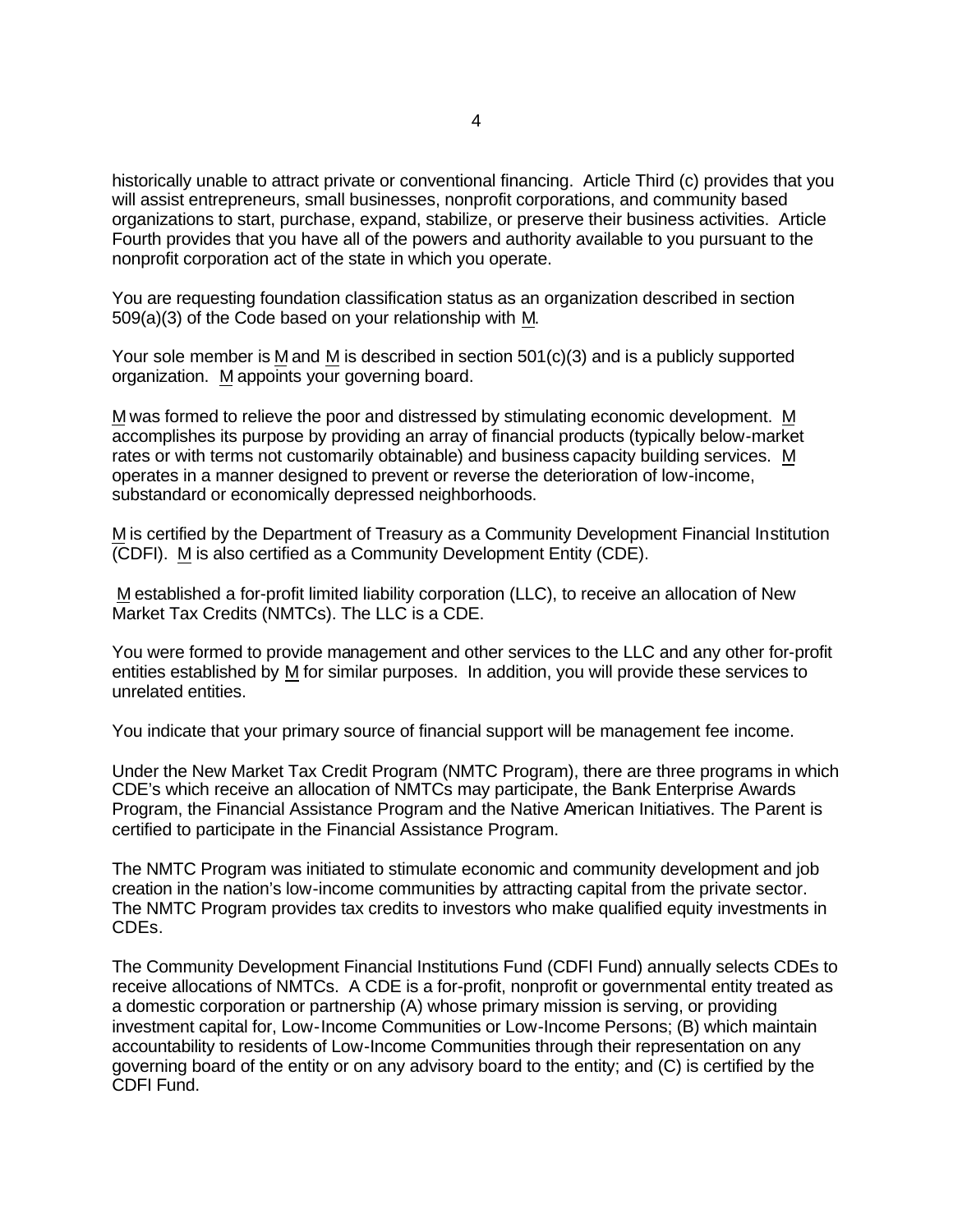historically unable to attract private or conventional financing. Article Third (c) provides that you will assist entrepreneurs, small businesses, nonprofit corporations, and community based organizations to start, purchase, expand, stabilize, or preserve their business activities. Article Fourth provides that you have all of the powers and authority available to you pursuant to the nonprofit corporation act of the state in which you operate.

You are requesting foundation classification status as an organization described in section 509(a)(3) of the Code based on your relationship with M.

Your sole member is M and M is described in section 501(c)(3) and is a publicly supported organization. M appoints your governing board.

M was formed to relieve the poor and distressed by stimulating economic development. M accomplishes its purpose by providing an array of financial products (typically below-market rates or with terms not customarily obtainable) and business capacity building services. M operates in a manner designed to prevent or reverse the deterioration of low-income, substandard or economically depressed neighborhoods.

M is certified by the Department of Treasury as a Community Development Financial Institution (CDFI). M is also certified as a Community Development Entity (CDE).

M established a for-profit limited liability corporation (LLC), to receive an allocation of New Market Tax Credits (NMTCs). The LLC is a CDE.

You were formed to provide management and other services to the LLC and any other for-profit entities established by M for similar purposes. In addition, you will provide these services to unrelated entities.

You indicate that your primary source of financial support will be management fee income.

Under the New Market Tax Credit Program (NMTC Program), there are three programs in which CDE's which receive an allocation of NMTCs may participate, the Bank Enterprise Awards Program, the Financial Assistance Program and the Native American Initiatives. The Parent is certified to participate in the Financial Assistance Program.

The NMTC Program was initiated to stimulate economic and community development and job creation in the nation's low-income communities by attracting capital from the private sector. The NMTC Program provides tax credits to investors who make qualified equity investments in CDEs.

The Community Development Financial Institutions Fund (CDFI Fund) annually selects CDEs to receive allocations of NMTCs. A CDE is a for-profit, nonprofit or governmental entity treated as a domestic corporation or partnership (A) whose primary mission is serving, or providing investment capital for, Low-Income Communities or Low-Income Persons; (B) which maintain accountability to residents of Low-Income Communities through their representation on any governing board of the entity or on any advisory board to the entity; and (C) is certified by the CDFI Fund.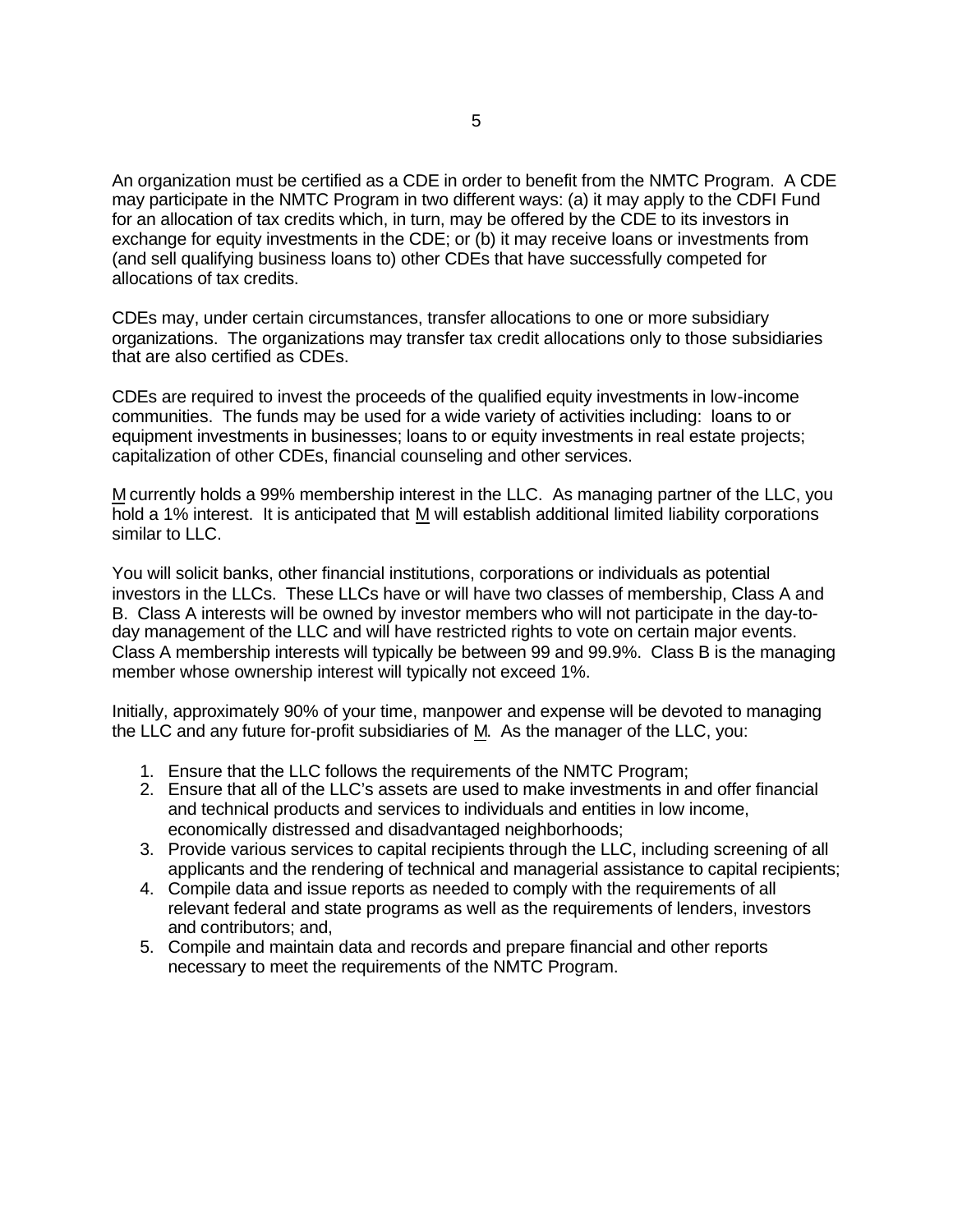An organization must be certified as a CDE in order to benefit from the NMTC Program. A CDE may participate in the NMTC Program in two different ways: (a) it may apply to the CDFI Fund for an allocation of tax credits which, in turn, may be offered by the CDE to its investors in exchange for equity investments in the CDE; or (b) it may receive loans or investments from (and sell qualifying business loans to) other CDEs that have successfully competed for allocations of tax credits.

CDEs may, under certain circumstances, transfer allocations to one or more subsidiary organizations. The organizations may transfer tax credit allocations only to those subsidiaries that are also certified as CDEs.

CDEs are required to invest the proceeds of the qualified equity investments in low-income communities. The funds may be used for a wide variety of activities including: loans to or equipment investments in businesses; loans to or equity investments in real estate projects; capitalization of other CDEs, financial counseling and other services.

M currently holds a 99% membership interest in the LLC. As managing partner of the LLC, you hold a 1% interest. It is anticipated that M will establish additional limited liability corporations similar to LLC.

You will solicit banks, other financial institutions, corporations or individuals as potential investors in the LLCs. These LLCs have or will have two classes of membership, Class A and B. Class A interests will be owned by investor members who will not participate in the day-today management of the LLC and will have restricted rights to vote on certain major events. Class A membership interests will typically be between 99 and 99.9%. Class B is the managing member whose ownership interest will typically not exceed 1%.

Initially, approximately 90% of your time, manpower and expense will be devoted to managing the LLC and any future for-profit subsidiaries of M. As the manager of the LLC, you:

- 1. Ensure that the LLC follows the requirements of the NMTC Program;
- 2. Ensure that all of the LLC's assets are used to make investments in and offer financial and technical products and services to individuals and entities in low income, economically distressed and disadvantaged neighborhoods;
- 3. Provide various services to capital recipients through the LLC, including screening of all applicants and the rendering of technical and managerial assistance to capital recipients;
- 4. Compile data and issue reports as needed to comply with the requirements of all relevant federal and state programs as well as the requirements of lenders, investors and contributors; and,
- 5. Compile and maintain data and records and prepare financial and other reports necessary to meet the requirements of the NMTC Program.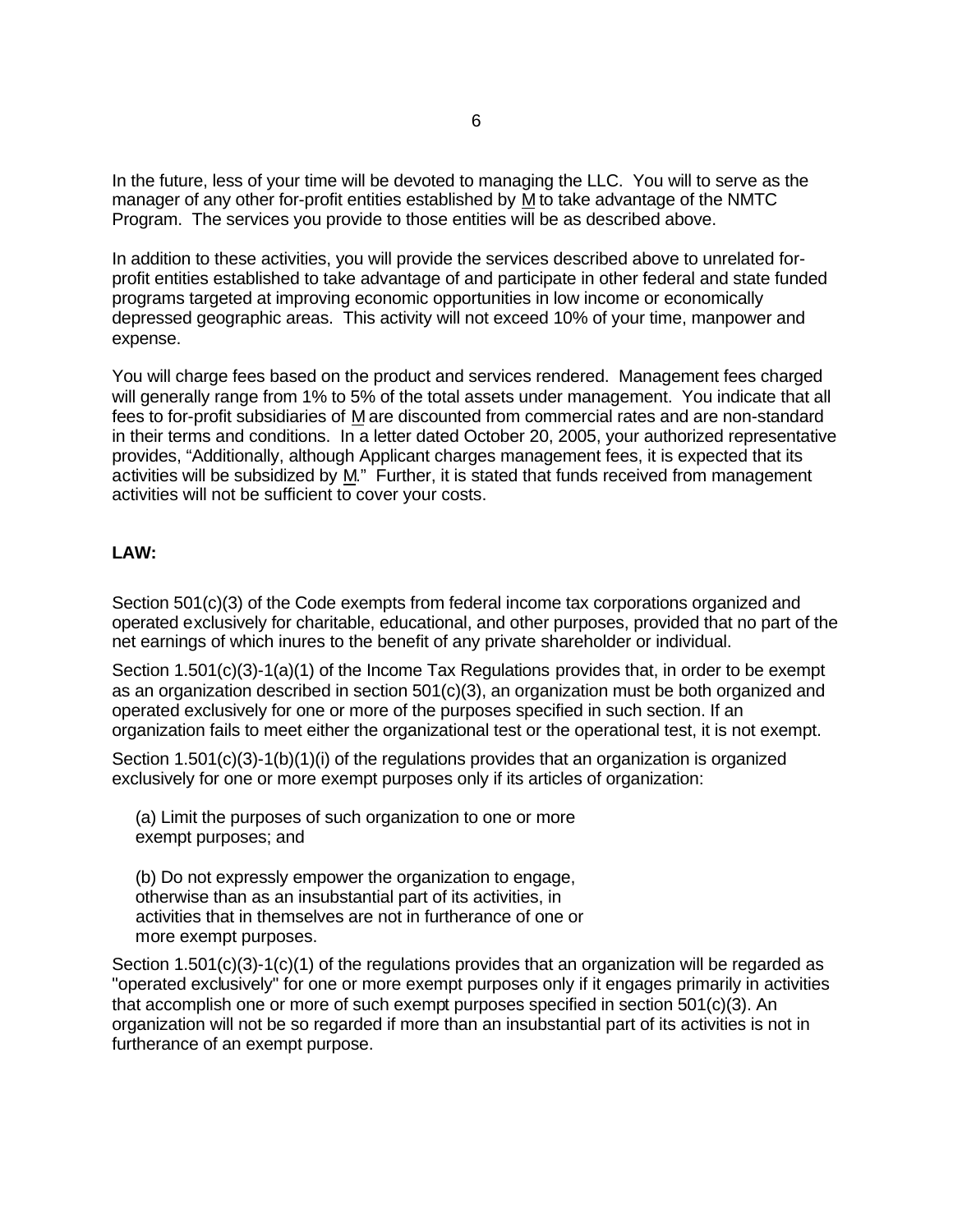In the future, less of your time will be devoted to managing the LLC. You will to serve as the manager of any other for-profit entities established by M to take advantage of the NMTC Program. The services you provide to those entities will be as described above.

In addition to these activities, you will provide the services described above to unrelated forprofit entities established to take advantage of and participate in other federal and state funded programs targeted at improving economic opportunities in low income or economically depressed geographic areas. This activity will not exceed 10% of your time, manpower and expense.

You will charge fees based on the product and services rendered. Management fees charged will generally range from 1% to 5% of the total assets under management. You indicate that all fees to for-profit subsidiaries of M are discounted from commercial rates and are non-standard in their terms and conditions. In a letter dated October 20, 2005, your authorized representative provides, "Additionally, although Applicant charges management fees, it is expected that its activities will be subsidized by M." Further, it is stated that funds received from management activities will not be sufficient to cover your costs.

## **LAW:**

Section 501(c)(3) of the Code exempts from federal income tax corporations organized and operated exclusively for charitable, educational, and other purposes, provided that no part of the net earnings of which inures to the benefit of any private shareholder or individual.

Section 1.501(c)(3)-1(a)(1) of the Income Tax Regulations provides that, in order to be exempt as an organization described in section 501(c)(3), an organization must be both organized and operated exclusively for one or more of the purposes specified in such section. If an organization fails to meet either the organizational test or the operational test, it is not exempt.

Section 1.501(c)(3)-1(b)(1)(i) of the regulations provides that an organization is organized exclusively for one or more exempt purposes only if its articles of organization:

 (a) Limit the purposes of such organization to one or more exempt purposes; and

 (b) Do not expressly empower the organization to engage, otherwise than as an insubstantial part of its activities, in activities that in themselves are not in furtherance of one or more exempt purposes.

Section 1.501(c)(3)-1(c)(1) of the regulations provides that an organization will be regarded as "operated exclusively" for one or more exempt purposes only if it engages primarily in activities that accomplish one or more of such exempt purposes specified in section 501(c)(3). An organization will not be so regarded if more than an insubstantial part of its activities is not in furtherance of an exempt purpose.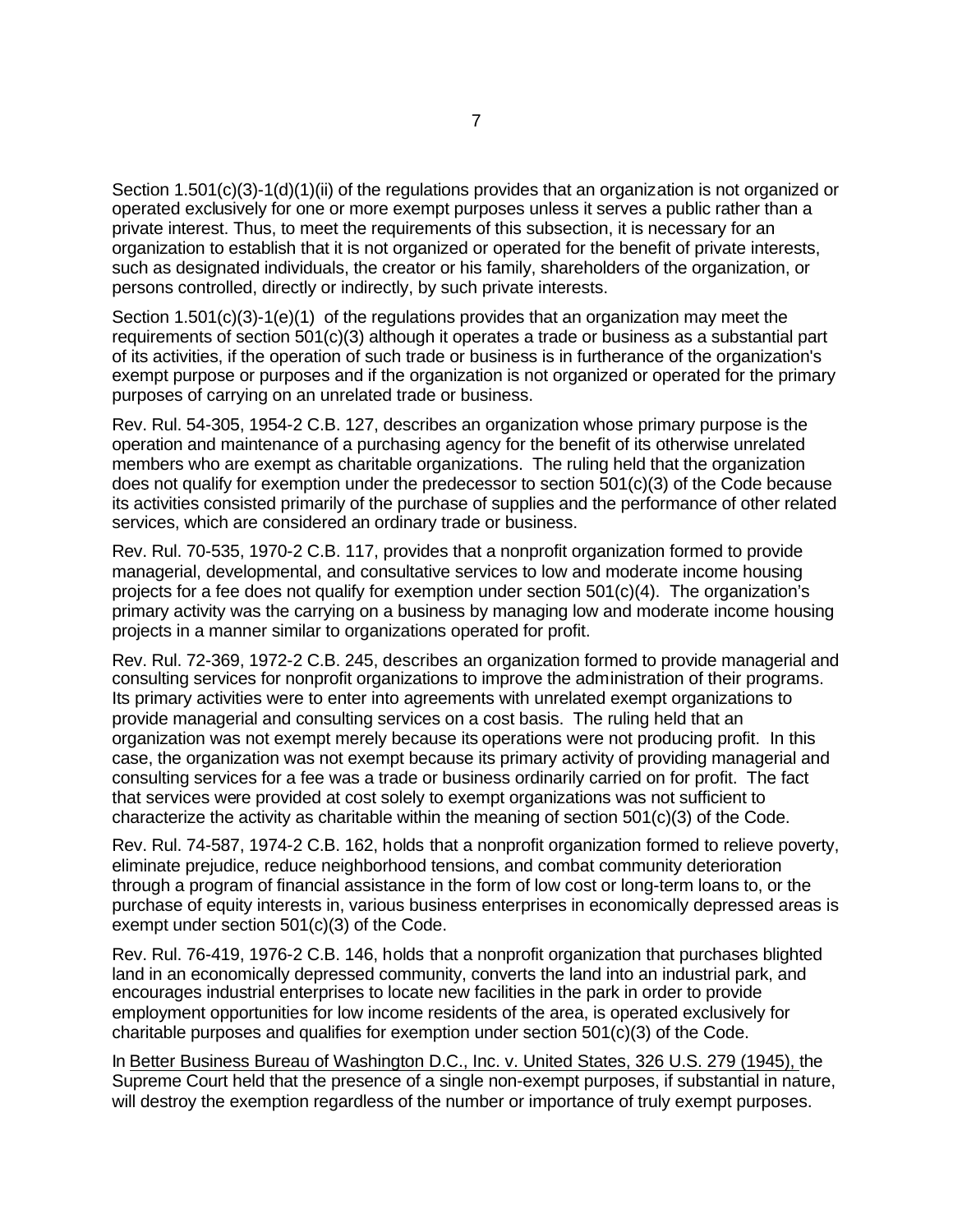Section 1.501(c)(3)-1(d)(1)(ii) of the regulations provides that an organization is not organized or operated exclusively for one or more exempt purposes unless it serves a public rather than a private interest. Thus, to meet the requirements of this subsection, it is necessary for an organization to establish that it is not organized or operated for the benefit of private interests, such as designated individuals, the creator or his family, shareholders of the organization, or persons controlled, directly or indirectly, by such private interests.

Section  $1.501(c)(3)-1(e)(1)$  of the regulations provides that an organization may meet the requirements of section 501(c)(3) although it operates a trade or business as a substantial part of its activities, if the operation of such trade or business is in furtherance of the organization's exempt purpose or purposes and if the organization is not organized or operated for the primary purposes of carrying on an unrelated trade or business.

Rev. Rul. 54-305, 1954-2 C.B. 127, describes an organization whose primary purpose is the operation and maintenance of a purchasing agency for the benefit of its otherwise unrelated members who are exempt as charitable organizations. The ruling held that the organization does not qualify for exemption under the predecessor to section 501(c)(3) of the Code because its activities consisted primarily of the purchase of supplies and the performance of other related services, which are considered an ordinary trade or business.

Rev. Rul. 70-535, 1970-2 C.B. 117, provides that a nonprofit organization formed to provide managerial, developmental, and consultative services to low and moderate income housing projects for a fee does not qualify for exemption under section 501(c)(4). The organization's primary activity was the carrying on a business by managing low and moderate income housing projects in a manner similar to organizations operated for profit.

Rev. Rul. 72-369, 1972-2 C.B. 245, describes an organization formed to provide managerial and consulting services for nonprofit organizations to improve the administration of their programs. Its primary activities were to enter into agreements with unrelated exempt organizations to provide managerial and consulting services on a cost basis. The ruling held that an organization was not exempt merely because its operations were not producing profit. In this case, the organization was not exempt because its primary activity of providing managerial and consulting services for a fee was a trade or business ordinarily carried on for profit. The fact that services were provided at cost solely to exempt organizations was not sufficient to characterize the activity as charitable within the meaning of section 501(c)(3) of the Code.

Rev. Rul. 74-587, 1974-2 C.B. 162, holds that a nonprofit organization formed to relieve poverty, eliminate prejudice, reduce neighborhood tensions, and combat community deterioration through a program of financial assistance in the form of low cost or long-term loans to, or the purchase of equity interests in, various business enterprises in economically depressed areas is exempt under section 501(c)(3) of the Code.

Rev. Rul. 76-419, 1976-2 C.B. 146, holds that a nonprofit organization that purchases blighted land in an economically depressed community, converts the land into an industrial park, and encourages industrial enterprises to locate new facilities in the park in order to provide employment opportunities for low income residents of the area, is operated exclusively for charitable purposes and qualifies for exemption under section  $501(c)(3)$  of the Code.

In Better Business Bureau of Washington D.C., Inc. v. United States, 326 U.S. 279 (1945), the Supreme Court held that the presence of a single non-exempt purposes, if substantial in nature, will destroy the exemption regardless of the number or importance of truly exempt purposes.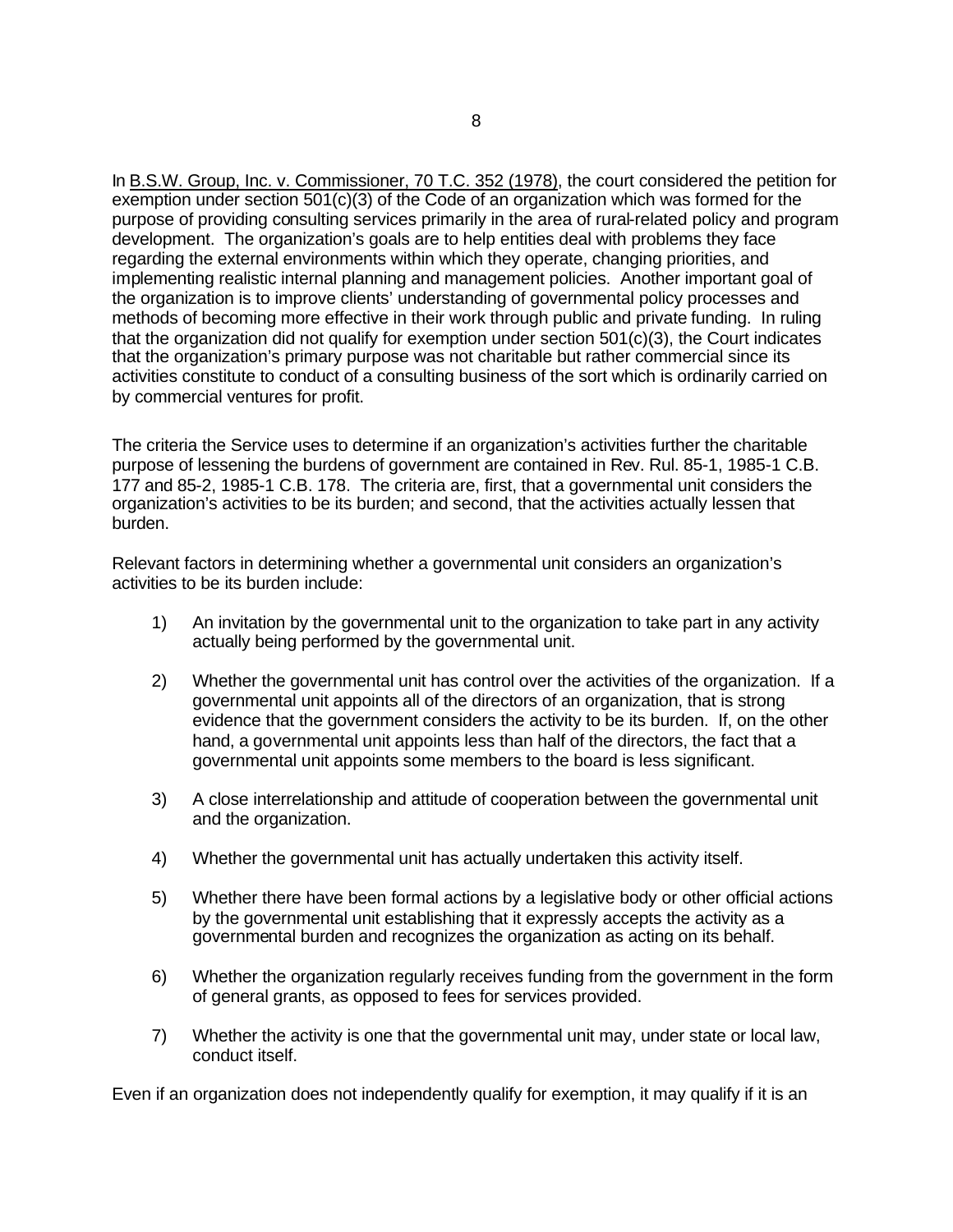In B.S.W. Group, Inc. v. Commissioner, 70 T.C. 352 (1978), the court considered the petition for exemption under section 501(c)(3) of the Code of an organization which was formed for the purpose of providing consulting services primarily in the area of rural-related policy and program development. The organization's goals are to help entities deal with problems they face regarding the external environments within which they operate, changing priorities, and implementing realistic internal planning and management policies. Another important goal of the organization is to improve clients' understanding of governmental policy processes and methods of becoming more effective in their work through public and private funding. In ruling that the organization did not qualify for exemption under section 501(c)(3), the Court indicates that the organization's primary purpose was not charitable but rather commercial since its activities constitute to conduct of a consulting business of the sort which is ordinarily carried on by commercial ventures for profit.

The criteria the Service uses to determine if an organization's activities further the charitable purpose of lessening the burdens of government are contained in Rev. Rul. 85-1, 1985-1 C.B. 177 and 85-2, 1985-1 C.B. 178. The criteria are, first, that a governmental unit considers the organization's activities to be its burden; and second, that the activities actually lessen that burden.

Relevant factors in determining whether a governmental unit considers an organization's activities to be its burden include:

- 1) An invitation by the governmental unit to the organization to take part in any activity actually being performed by the governmental unit.
- 2) Whether the governmental unit has control over the activities of the organization. If a governmental unit appoints all of the directors of an organization, that is strong evidence that the government considers the activity to be its burden. If, on the other hand, a governmental unit appoints less than half of the directors, the fact that a governmental unit appoints some members to the board is less significant.
- 3) A close interrelationship and attitude of cooperation between the governmental unit and the organization.
- 4) Whether the governmental unit has actually undertaken this activity itself.
- 5) Whether there have been formal actions by a legislative body or other official actions by the governmental unit establishing that it expressly accepts the activity as a governmental burden and recognizes the organization as acting on its behalf.
- 6) Whether the organization regularly receives funding from the government in the form of general grants, as opposed to fees for services provided.
- 7) Whether the activity is one that the governmental unit may, under state or local law, conduct itself.

Even if an organization does not independently qualify for exemption, it may qualify if it is an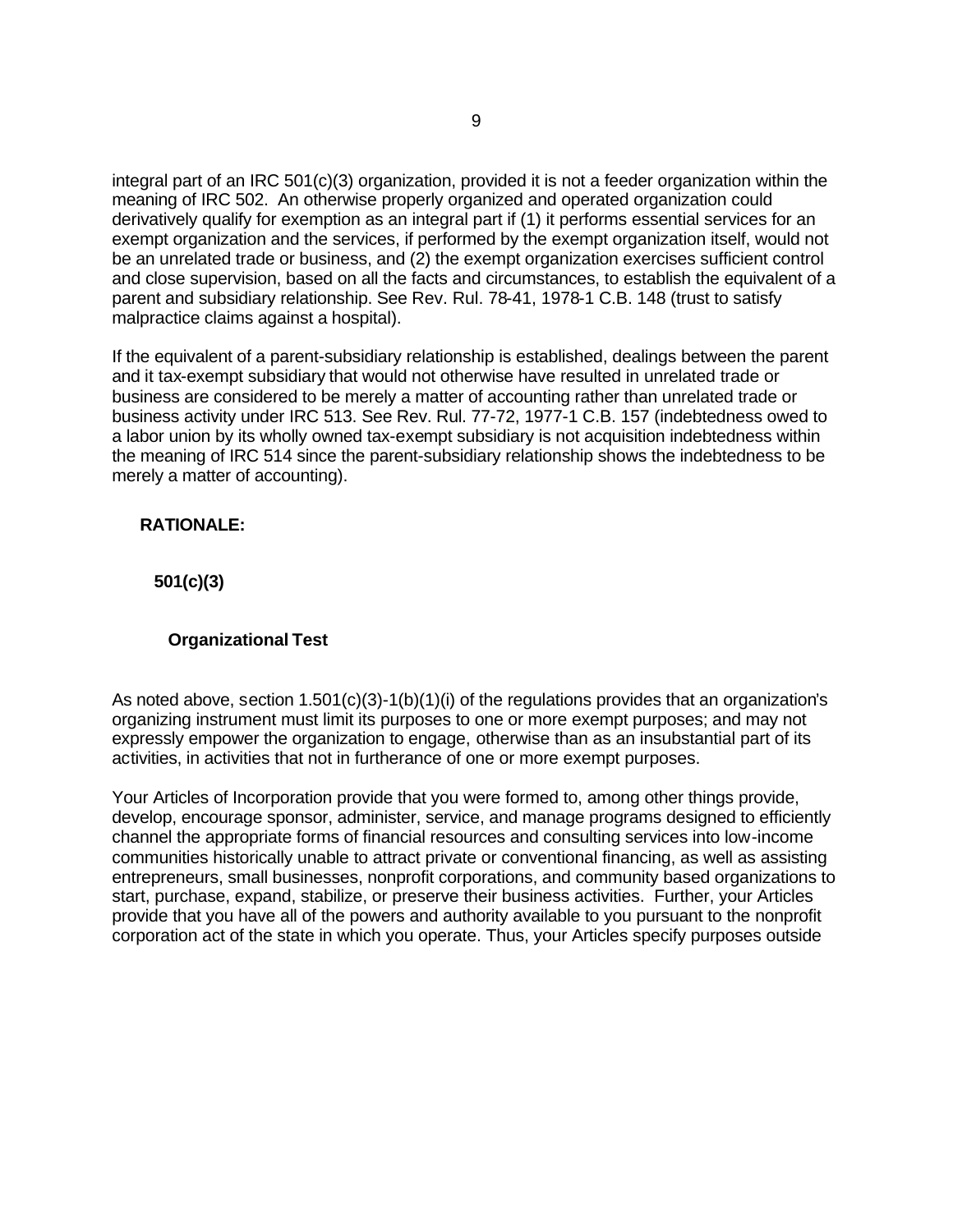integral part of an IRC 501(c)(3) organization, provided it is not a feeder organization within the meaning of IRC 502. An otherwise properly organized and operated organization could derivatively qualify for exemption as an integral part if (1) it performs essential services for an exempt organization and the services, if performed by the exempt organization itself, would not be an unrelated trade or business, and (2) the exempt organization exercises sufficient control and close supervision, based on all the facts and circumstances, to establish the equivalent of a parent and subsidiary relationship. See Rev. Rul. 78-41, 1978-1 C.B. 148 (trust to satisfy malpractice claims against a hospital).

If the equivalent of a parent-subsidiary relationship is established, dealings between the parent and it tax-exempt subsidiary that would not otherwise have resulted in unrelated trade or business are considered to be merely a matter of accounting rather than unrelated trade or business activity under IRC 513. See Rev. Rul. 77-72, 1977-1 C.B. 157 (indebtedness owed to a labor union by its wholly owned tax-exempt subsidiary is not acquisition indebtedness within the meaning of IRC 514 since the parent-subsidiary relationship shows the indebtedness to be merely a matter of accounting).

## **RATIONALE:**

 **501(c)(3)**

#### **Organizational Test**

As noted above, section 1.501(c)(3)-1(b)(1)(i) of the regulations provides that an organization's organizing instrument must limit its purposes to one or more exempt purposes; and may not expressly empower the organization to engage, otherwise than as an insubstantial part of its activities, in activities that not in furtherance of one or more exempt purposes.

Your Articles of Incorporation provide that you were formed to, among other things provide, develop, encourage sponsor, administer, service, and manage programs designed to efficiently channel the appropriate forms of financial resources and consulting services into low-income communities historically unable to attract private or conventional financing, as well as assisting entrepreneurs, small businesses, nonprofit corporations, and community based organizations to start, purchase, expand, stabilize, or preserve their business activities. Further, your Articles provide that you have all of the powers and authority available to you pursuant to the nonprofit corporation act of the state in which you operate. Thus, your Articles specify purposes outside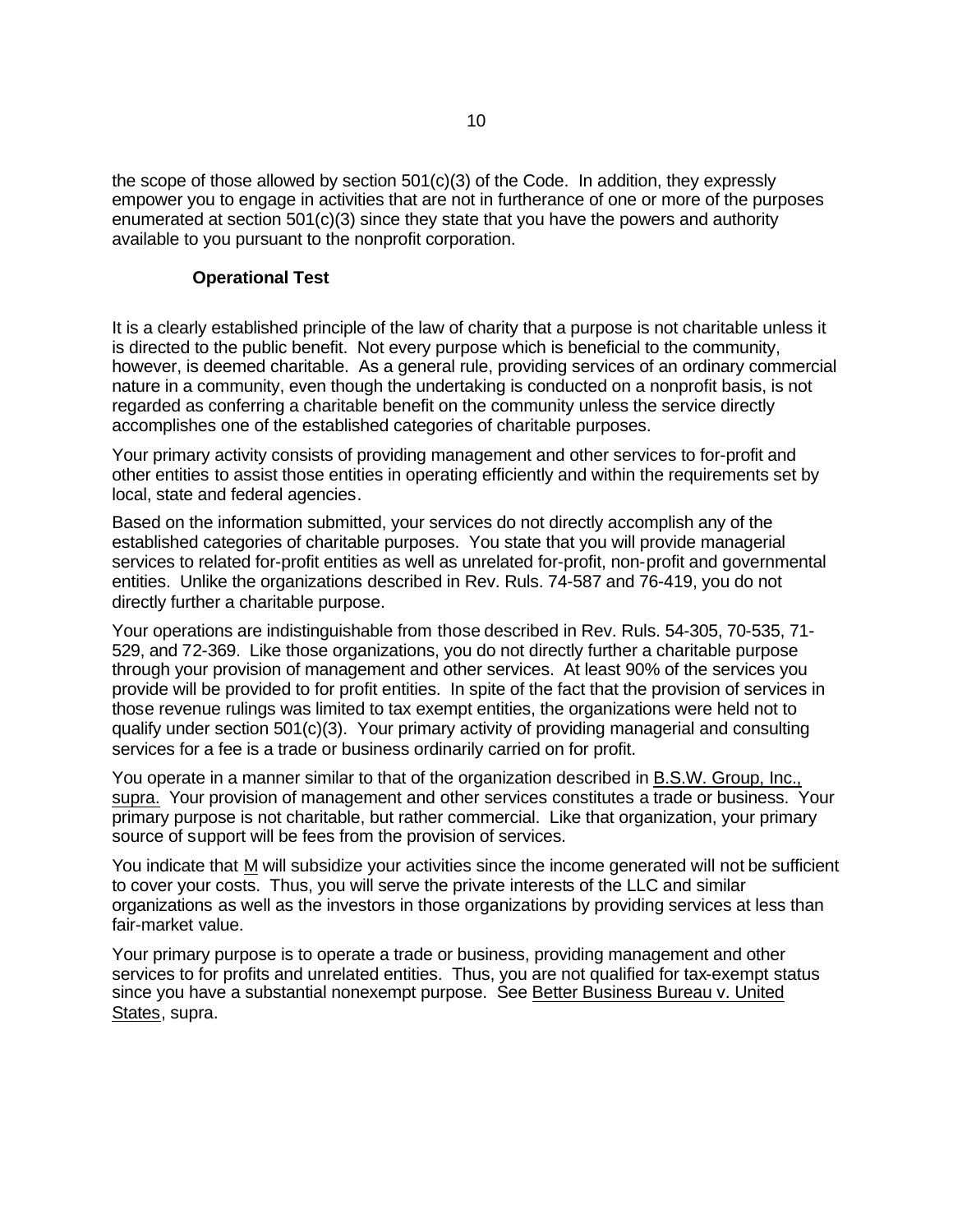the scope of those allowed by section 501(c)(3) of the Code. In addition, they expressly empower you to engage in activities that are not in furtherance of one or more of the purposes enumerated at section  $501(c)(3)$  since they state that you have the powers and authority available to you pursuant to the nonprofit corporation.

#### **Operational Test**

It is a clearly established principle of the law of charity that a purpose is not charitable unless it is directed to the public benefit. Not every purpose which is beneficial to the community, however, is deemed charitable. As a general rule, providing services of an ordinary commercial nature in a community, even though the undertaking is conducted on a nonprofit basis, is not regarded as conferring a charitable benefit on the community unless the service directly accomplishes one of the established categories of charitable purposes.

Your primary activity consists of providing management and other services to for-profit and other entities to assist those entities in operating efficiently and within the requirements set by local, state and federal agencies.

Based on the information submitted, your services do not directly accomplish any of the established categories of charitable purposes. You state that you will provide managerial services to related for-profit entities as well as unrelated for-profit, non-profit and governmental entities. Unlike the organizations described in Rev. Ruls. 74-587 and 76-419, you do not directly further a charitable purpose.

Your operations are indistinguishable from those described in Rev. Ruls. 54-305, 70-535, 71- 529, and 72-369. Like those organizations, you do not directly further a charitable purpose through your provision of management and other services. At least 90% of the services you provide will be provided to for profit entities. In spite of the fact that the provision of services in those revenue rulings was limited to tax exempt entities, the organizations were held not to qualify under section 501(c)(3). Your primary activity of providing managerial and consulting services for a fee is a trade or business ordinarily carried on for profit.

You operate in a manner similar to that of the organization described in B.S.W. Group, Inc., supra. Your provision of management and other services constitutes a trade or business. Your primary purpose is not charitable, but rather commercial. Like that organization, your primary source of support will be fees from the provision of services.

You indicate that M will subsidize your activities since the income generated will not be sufficient to cover your costs. Thus, you will serve the private interests of the LLC and similar organizations as well as the investors in those organizations by providing services at less than fair-market value.

Your primary purpose is to operate a trade or business, providing management and other services to for profits and unrelated entities. Thus, you are not qualified for tax-exempt status since you have a substantial nonexempt purpose. See Better Business Bureau v. United States, supra.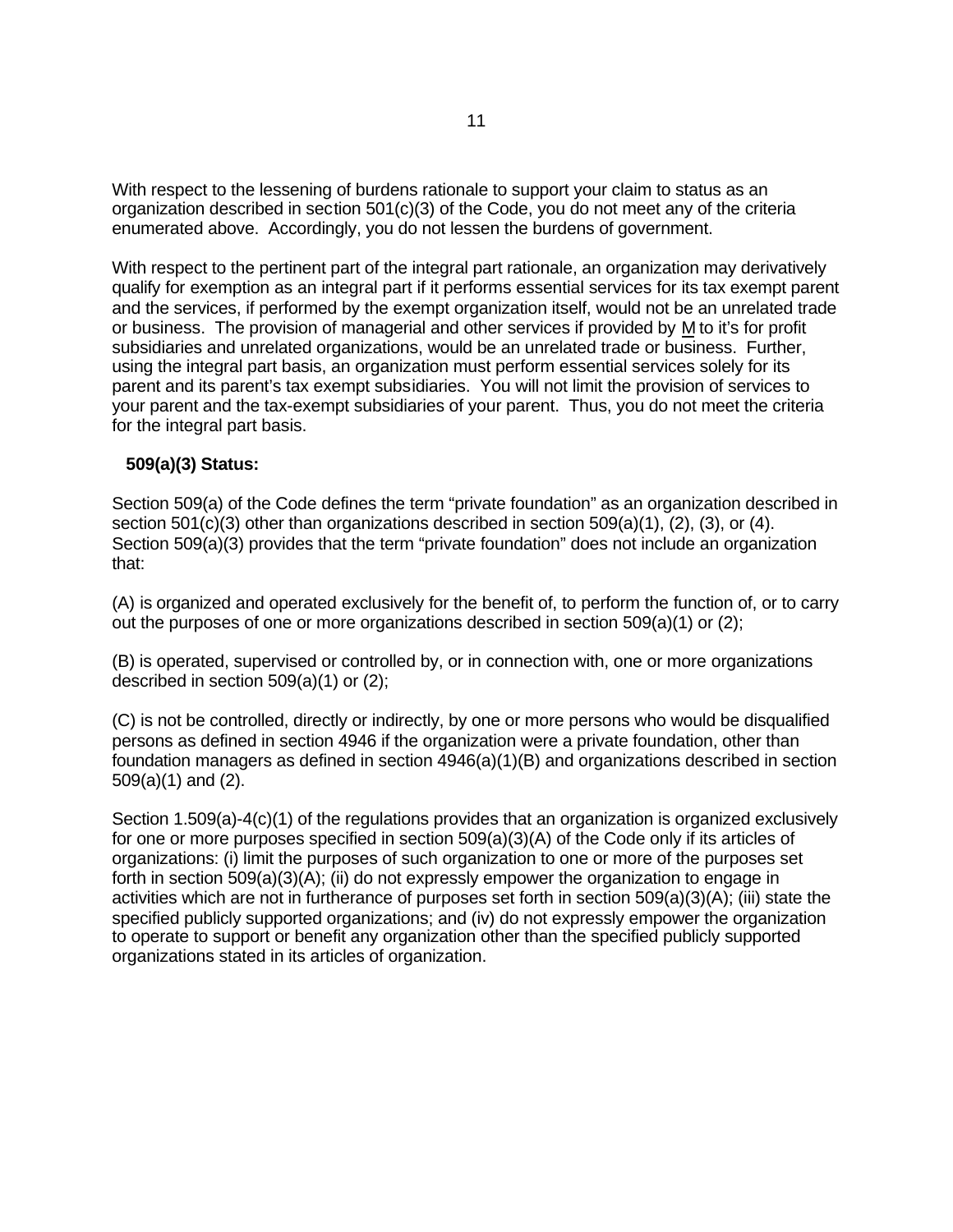With respect to the lessening of burdens rationale to support your claim to status as an organization described in section 501(c)(3) of the Code, you do not meet any of the criteria enumerated above. Accordingly, you do not lessen the burdens of government.

With respect to the pertinent part of the integral part rationale, an organization may derivatively qualify for exemption as an integral part if it performs essential services for its tax exempt parent and the services, if performed by the exempt organization itself, would not be an unrelated trade or business. The provision of managerial and other services if provided by M to it's for profit subsidiaries and unrelated organizations, would be an unrelated trade or business. Further, using the integral part basis, an organization must perform essential services solely for its parent and its parent's tax exempt subsidiaries. You will not limit the provision of services to your parent and the tax-exempt subsidiaries of your parent. Thus, you do not meet the criteria for the integral part basis.

## **509(a)(3) Status:**

Section 509(a) of the Code defines the term "private foundation" as an organization described in section 501(c)(3) other than organizations described in section 509(a)(1), (2), (3), or (4). Section 509(a)(3) provides that the term "private foundation" does not include an organization that:

(A) is organized and operated exclusively for the benefit of, to perform the function of, or to carry out the purposes of one or more organizations described in section 509(a)(1) or (2);

(B) is operated, supervised or controlled by, or in connection with, one or more organizations described in section 509(a)(1) or (2);

(C) is not be controlled, directly or indirectly, by one or more persons who would be disqualified persons as defined in section 4946 if the organization were a private foundation, other than foundation managers as defined in section  $4946(a)(1)(B)$  and organizations described in section 509(a)(1) and (2).

Section 1.509(a)-4(c)(1) of the regulations provides that an organization is organized exclusively for one or more purposes specified in section 509(a)(3)(A) of the Code only if its articles of organizations: (i) limit the purposes of such organization to one or more of the purposes set forth in section 509(a)(3)(A); (ii) do not expressly empower the organization to engage in activities which are not in furtherance of purposes set forth in section 509(a)(3)(A); (iii) state the specified publicly supported organizations; and (iv) do not expressly empower the organization to operate to support or benefit any organization other than the specified publicly supported organizations stated in its articles of organization.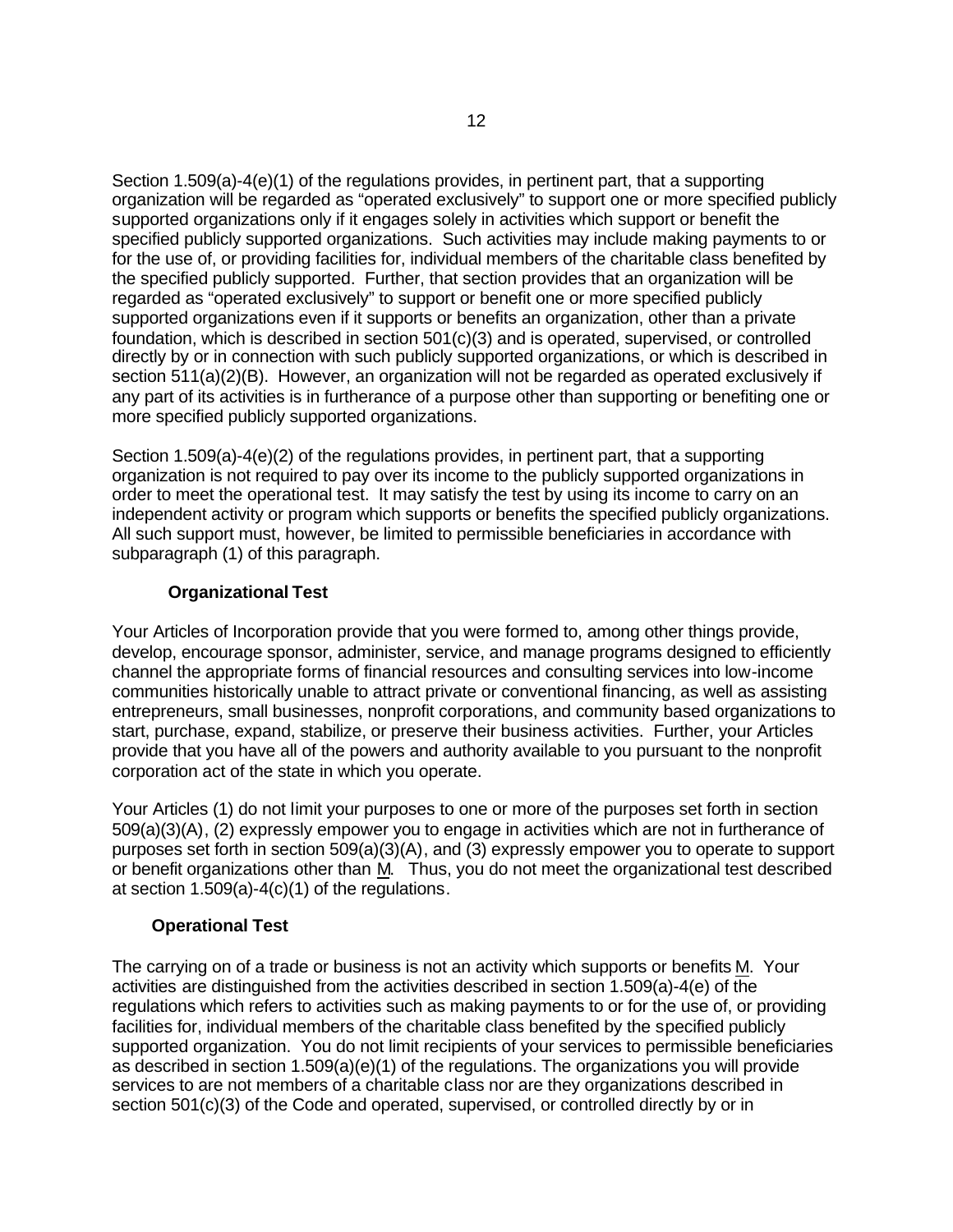Section 1.509(a)-4(e)(1) of the regulations provides, in pertinent part, that a supporting organization will be regarded as "operated exclusively" to support one or more specified publicly supported organizations only if it engages solely in activities which support or benefit the specified publicly supported organizations. Such activities may include making payments to or for the use of, or providing facilities for, individual members of the charitable class benefited by the specified publicly supported. Further, that section provides that an organization will be regarded as "operated exclusively" to support or benefit one or more specified publicly supported organizations even if it supports or benefits an organization, other than a private foundation, which is described in section 501(c)(3) and is operated, supervised, or controlled directly by or in connection with such publicly supported organizations, or which is described in section 511(a)(2)(B). However, an organization will not be regarded as operated exclusively if any part of its activities is in furtherance of a purpose other than supporting or benefiting one or more specified publicly supported organizations.

Section 1.509(a)-4(e)(2) of the regulations provides, in pertinent part, that a supporting organization is not required to pay over its income to the publicly supported organizations in order to meet the operational test. It may satisfy the test by using its income to carry on an independent activity or program which supports or benefits the specified publicly organizations. All such support must, however, be limited to permissible beneficiaries in accordance with subparagraph (1) of this paragraph.

# **Organizational Test**

Your Articles of Incorporation provide that you were formed to, among other things provide, develop, encourage sponsor, administer, service, and manage programs designed to efficiently channel the appropriate forms of financial resources and consulting services into low-income communities historically unable to attract private or conventional financing, as well as assisting entrepreneurs, small businesses, nonprofit corporations, and community based organizations to start, purchase, expand, stabilize, or preserve their business activities. Further, your Articles provide that you have all of the powers and authority available to you pursuant to the nonprofit corporation act of the state in which you operate.

Your Articles (1) do not limit your purposes to one or more of the purposes set forth in section 509(a)(3)(A), (2) expressly empower you to engage in activities which are not in furtherance of purposes set forth in section 509(a)(3)(A), and (3) expressly empower you to operate to support or benefit organizations other than M. Thus, you do not meet the organizational test described at section 1.509(a)-4(c)(1) of the regulations.

## **Operational Test**

The carrying on of a trade or business is not an activity which supports or benefits M. Your activities are distinguished from the activities described in section 1.509(a)-4(e) of the regulations which refers to activities such as making payments to or for the use of, or providing facilities for, individual members of the charitable class benefited by the specified publicly supported organization. You do not limit recipients of your services to permissible beneficiaries as described in section 1.509(a)(e)(1) of the regulations. The organizations you will provide services to are not members of a charitable class nor are they organizations described in section 501(c)(3) of the Code and operated, supervised, or controlled directly by or in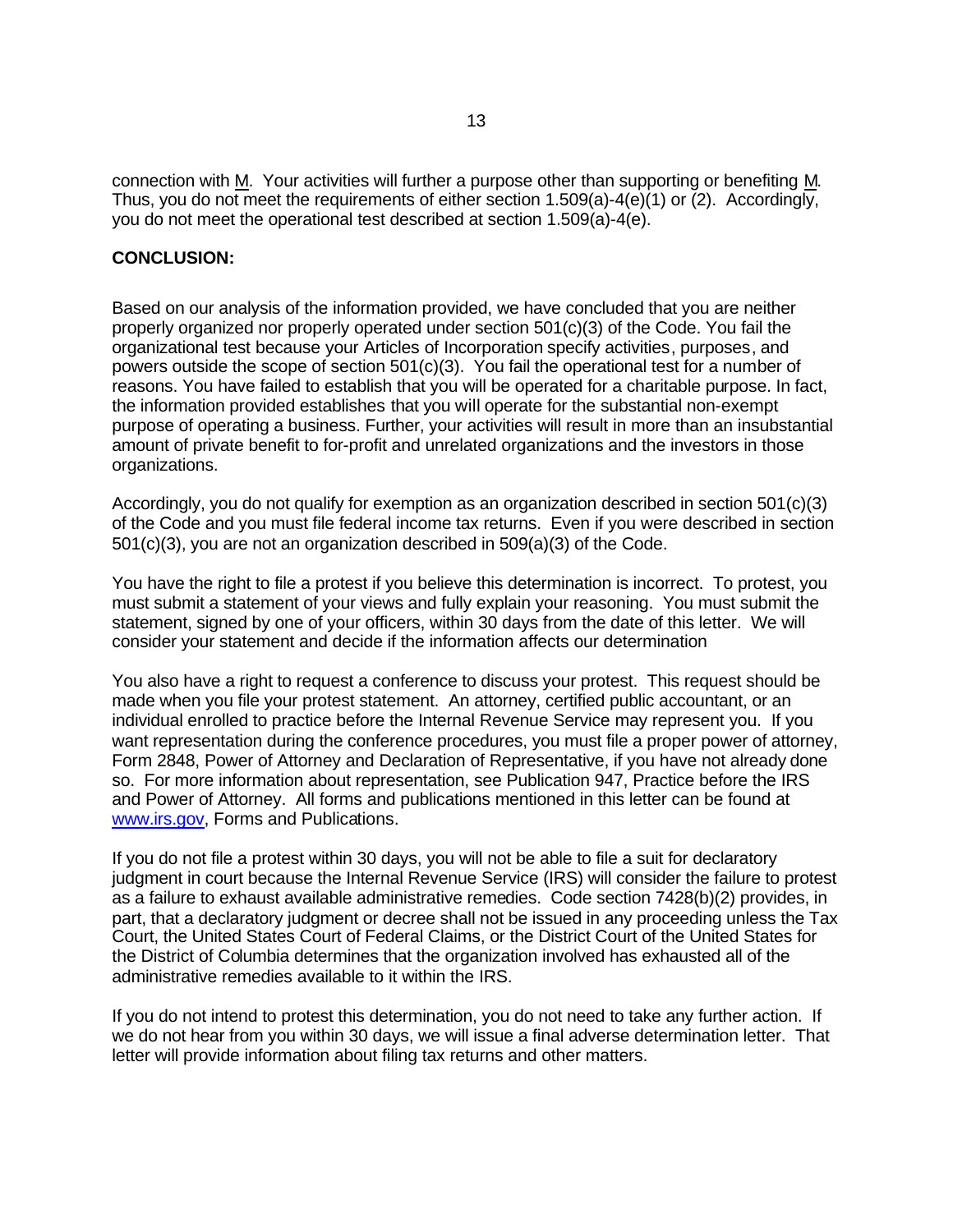connection with M. Your activities will further a purpose other than supporting or benefiting M. Thus, you do not meet the requirements of either section  $1.509(a) - 4(e)(1)$  or (2). Accordingly, you do not meet the operational test described at section 1.509(a)-4(e).

#### **CONCLUSION:**

Based on our analysis of the information provided, we have concluded that you are neither properly organized nor properly operated under section 501(c)(3) of the Code. You fail the organizational test because your Articles of Incorporation specify activities, purposes, and powers outside the scope of section  $501(c)(3)$ . You fail the operational test for a number of reasons. You have failed to establish that you will be operated for a charitable purpose. In fact, the information provided establishes that you will operate for the substantial non-exempt purpose of operating a business. Further, your activities will result in more than an insubstantial amount of private benefit to for-profit and unrelated organizations and the investors in those organizations.

Accordingly, you do not qualify for exemption as an organization described in section 501(c)(3) of the Code and you must file federal income tax returns. Even if you were described in section 501(c)(3), you are not an organization described in 509(a)(3) of the Code.

You have the right to file a protest if you believe this determination is incorrect. To protest, you must submit a statement of your views and fully explain your reasoning. You must submit the statement, signed by one of your officers, within 30 days from the date of this letter. We will consider your statement and decide if the information affects our determination

You also have a right to request a conference to discuss your protest. This request should be made when you file your protest statement. An attorney, certified public accountant, or an individual enrolled to practice before the Internal Revenue Service may represent you. If you want representation during the conference procedures, you must file a proper power of attorney, Form 2848, Power of Attorney and Declaration of Representative, if you have not already done so. For more information about representation, see Publication 947, Practice before the IRS and Power of Attorney. All forms and publications mentioned in this letter can be found at www.irs.gov, Forms and Publications.

If you do not file a protest within 30 days, you will not be able to file a suit for declaratory judgment in court because the Internal Revenue Service (IRS) will consider the failure to protest as a failure to exhaust available administrative remedies. Code section 7428(b)(2) provides, in part, that a declaratory judgment or decree shall not be issued in any proceeding unless the Tax Court, the United States Court of Federal Claims, or the District Court of the United States for the District of Columbia determines that the organization involved has exhausted all of the administrative remedies available to it within the IRS.

If you do not intend to protest this determination, you do not need to take any further action. If we do not hear from you within 30 days, we will issue a final adverse determination letter. That letter will provide information about filing tax returns and other matters.